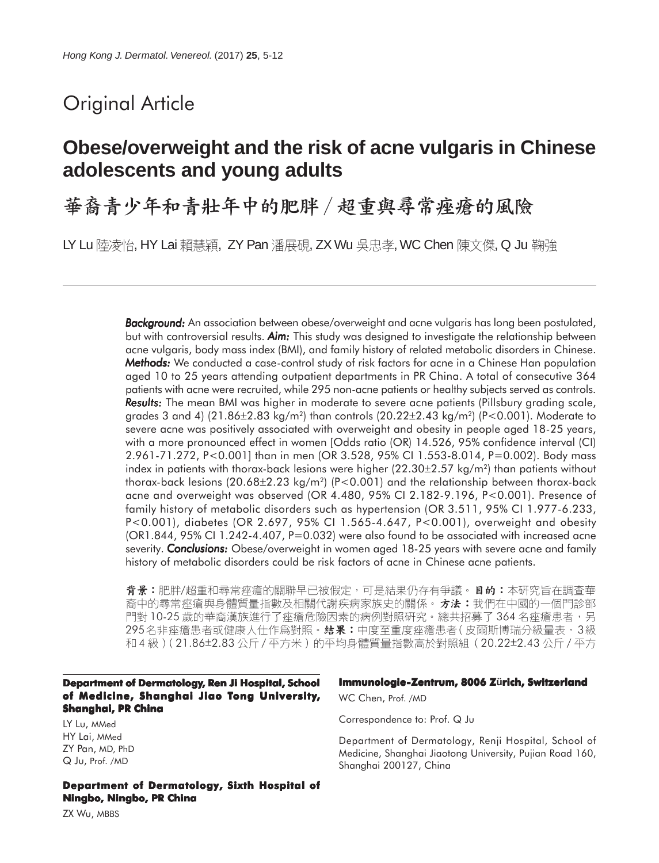# Original Article

# **Obese/overweight and the risk of acne vulgaris in Chinese adolescents and young adults**

華裔青少年和青壯年中的肥胖 / 超重與尋常痤瘡的風險

LY Lu 陸凌怡, HY Lai 賴慧穎, ZY Pan 潘展硯, ZX Wu 吳忠孝, WC Chen 陳文傑, Q Ju 鞠強

*Background: Background:* An association between obese/overweight and acne vulgaris has long been postulated, but with controversial results. *Aim:* This study was designed to investigate the relationship between acne vulgaris, body mass index (BMI), and family history of related metabolic disorders in Chinese. *Methods: Methods:* We conducted a case-control study of risk factors for acne in a Chinese Han population aged 10 to 25 years attending outpatient departments in PR China. A total of consecutive 364 patients with acne were recruited, while 295 non-acne patients or healthy subjects served as controls. **Results:** The mean BMI was higher in moderate to severe acne patients (Pillsbury grading scale, grades 3 and 4)  $(21.86\pm2.83 \text{ kg/m}^2)$  than controls  $(20.22\pm2.43 \text{ kg/m}^2)$  (P<0.001). Moderate to severe acne was positively associated with overweight and obesity in people aged 18-25 years, with a more pronounced effect in women [Odds ratio (OR) 14.526, 95% confidence interval (CI) 2.961-71.272, P<0.001] than in men (OR 3.528, 95% CI 1.553-8.014, P=0.002). Body mass index in patients with thorax-back lesions were higher (22.30±2.57 kg/m<sup>2</sup>) than patients without thorax-back lesions (20.68 $\pm$ 2.23 kg/m<sup>2</sup>) (P<0.001) and the relationship between thorax-back acne and overweight was observed (OR 4.480, 95% CI 2.182-9.196, P<0.001). Presence of family history of metabolic disorders such as hypertension (OR 3.511, 95% CI 1.977-6.233, P<0.001), diabetes (OR 2.697, 95% CI 1.565-4.647, P<0.001), overweight and obesity (OR1.844, 95% CI 1.242-4.407, P=0.032) were also found to be associated with increased acne severity. *Conclusions:* Obese/overweight in women aged 18-25 years with severe acne and family history of metabolic disorders could be risk factors of acne in Chinese acne patients.

背景:肥胖/超重和尋常痤瘡的關聯早已被假定,可是結果仍存有爭議。日的:本研究旨在調查華 裔中的尋常痤瘡與身體質量指數及相關代謝疾病家族史的關係。 **方法:**我們在中國的一個門診部 門對 10-25 歲的華裔漢族進行了痤瘡危險因素的病例對照研究。總共招募了 364 名痤瘡患者,另 295名非痤瘡患者或健康人仕作爲對照。**結果:**中度至重度痤瘡患者(皮爾斯博瑞分級量表,3級 和4級)(21.86±2.83公斤/平方米)的平均身體質量指數高於對照組 (20.22±2.43公斤/平方

#### **Department of Dermatology, Ren Ji Hospital, School of Medicine, Shanghai Jiao Tong University, Shanghai, PR China**

LY Lu, MMed HY Lai, MMed ZY Pan, MD, PhD Q Ju, Prof. /MD

**Department of Dermatology, Sixth Hospital of Ningbo, Ningbo, PR China**

#### **Immunologie-Zentrum, 8006 Zürich, Switzerland**

WC Chen, Prof. /MD

Correspondence to: Prof. Q Ju

Department of Dermatology, Renji Hospital, School of Medicine, Shanghai Jiaotong University, Pujian Road 160, Shanghai 200127, China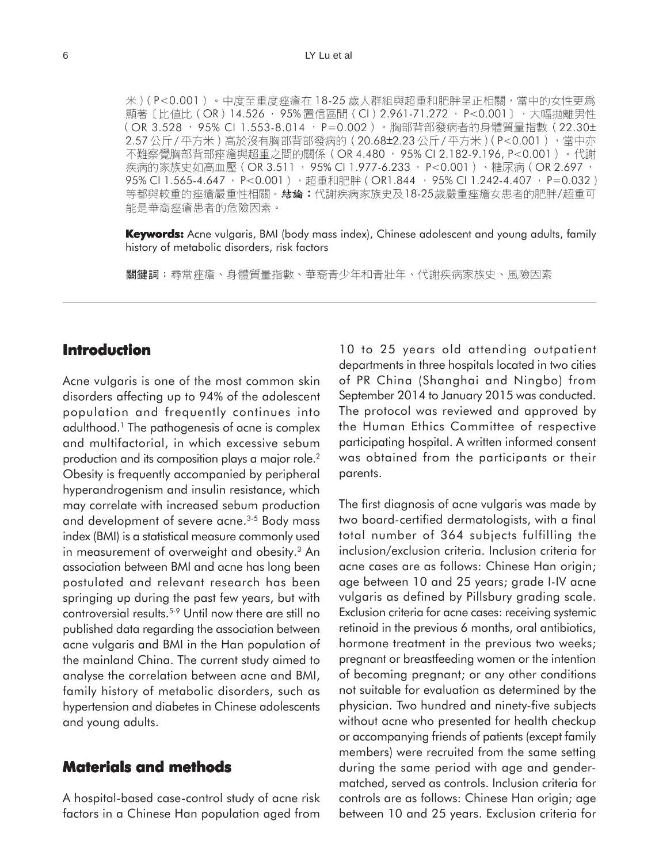米)(P<0.001)。中度至重度痤瘡在18-25 歲人群組與超重和肥胖呈正相關,當中的女性更爲 顯著〔比値比 (OR) 14.526, 95% 置信區間 (CI) 2.961-71.272, P<0.001〕, 大幅抛離男性 (OR 3.528 · 95% CI 1.553-8.014 · P=0.002 )。胸部背部發病者的身體質量指數(22.30± 2.57公斤/平方米)高於沒有胸部背部發病的 (20.68±2.23公斤/平方米) (P<0.001) , 當中亦 不難察覺胸部背部痤瘡與超重之間的關係 (OR 4.480, 95% CI 2.182-9.196, P<0.001) 。代謝 疾病的家族史如高血壓 (OR 3.511, 95% CI 1.977-6.233, P<0.001)、糖尿病 (OR 2.697, 95% CI 1.565-4.647, P<0.001), 超重和肥胖 (OR1.844, 95% CI 1.242-4.407, P=0.032) 18-25 / 能是華裔痤瘡患者的危險因素。

**Keywords:** Acne vulgaris, BMI (body mass index), Chinese adolescent and young adults, family history of metabolic disorders, risk factors

關鍵詞:尋常痤瘡、身體質量指數、華裔青少年和青壯年、代謝疾病家族史、風險因素

## **Introduction**

Acne vulgaris is one of the most common skin disorders affecting up to 94% of the adolescent population and frequently continues into adulthood.1 The pathogenesis of acne is complex and multifactorial, in which excessive sebum production and its composition plays a major role.<sup>2</sup> Obesity is frequently accompanied by peripheral hyperandrogenism and insulin resistance, which may correlate with increased sebum production and development of severe acne.<sup>3-5</sup> Body mass index (BMI) is a statistical measure commonly used in measurement of overweight and obesity.<sup>3</sup> An association between BMI and acne has long been postulated and relevant research has been springing up during the past few years, but with controversial results.5-9 Until now there are still no published data regarding the association between acne vulgaris and BMI in the Han population of the mainland China. The current study aimed to analyse the correlation between acne and BMI, family history of metabolic disorders, such as hypertension and diabetes in Chinese adolescents and young adults.

## **Materials and methods**

A hospital-based case-control study of acne risk factors in a Chinese Han population aged from

10 to 25 years old attending outpatient departments in three hospitals located in two cities of PR China (Shanghai and Ningbo) from September 2014 to January 2015 was conducted. The protocol was reviewed and approved by the Human Ethics Committee of respective participating hospital. A written informed consent was obtained from the participants or their parents.

The first diagnosis of acne vulgaris was made by two board-certified dermatologists, with a final total number of 364 subjects fulfilling the inclusion/exclusion criteria. Inclusion criteria for acne cases are as follows: Chinese Han origin; age between 10 and 25 years; grade I-IV acne vulgaris as defined by Pillsbury grading scale. Exclusion criteria for acne cases: receiving systemic retinoid in the previous 6 months, oral antibiotics, hormone treatment in the previous two weeks; pregnant or breastfeeding women or the intention of becoming pregnant; or any other conditions not suitable for evaluation as determined by the physician. Two hundred and ninety-five subjects without acne who presented for health checkup or accompanying friends of patients (except family members) were recruited from the same setting during the same period with age and gendermatched, served as controls. Inclusion criteria for controls are as follows: Chinese Han origin; age between 10 and 25 years. Exclusion criteria for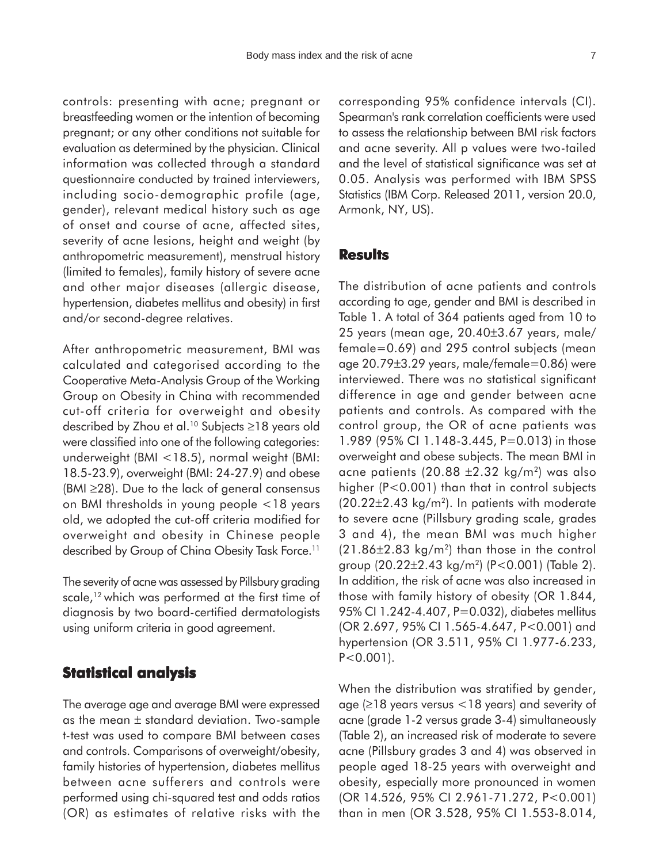controls: presenting with acne; pregnant or breastfeeding women or the intention of becoming pregnant; or any other conditions not suitable for evaluation as determined by the physician. Clinical information was collected through a standard questionnaire conducted by trained interviewers, including socio-demographic profile (age, gender), relevant medical history such as age of onset and course of acne, affected sites, severity of acne lesions, height and weight (by anthropometric measurement), menstrual history (limited to females), family history of severe acne and other major diseases (allergic disease, hypertension, diabetes mellitus and obesity) in first and/or second-degree relatives.

After anthropometric measurement, BMI was calculated and categorised according to the Cooperative Meta-Analysis Group of the Working Group on Obesity in China with recommended cut-off criteria for overweight and obesity described by Zhou et al.10 Subjects ≥18 years old were classified into one of the following categories: underweight (BMI <18.5), normal weight (BMI: 18.5-23.9), overweight (BMI: 24-27.9) and obese (BMI ≥28). Due to the lack of general consensus on BMI thresholds in young people <18 years old, we adopted the cut-off criteria modified for overweight and obesity in Chinese people described by Group of China Obesity Task Force.<sup>11</sup>

The severity of acne was assessed by Pillsbury grading scale,<sup>12</sup> which was performed at the first time of diagnosis by two board-certified dermatologists using uniform criteria in good agreement.

#### **Statistical analysis**

The average age and average BMI were expressed as the mean  $\pm$  standard deviation. Two-sample t-test was used to compare BMI between cases and controls. Comparisons of overweight/obesity, family histories of hypertension, diabetes mellitus between acne sufferers and controls were performed using chi-squared test and odds ratios (OR) as estimates of relative risks with the corresponding 95% confidence intervals (CI). Spearman's rank correlation coefficients were used to assess the relationship between BMI risk factors and acne severity. All p values were two-tailed and the level of statistical significance was set at 0.05. Analysis was performed with IBM SPSS Statistics (IBM Corp. Released 2011, version 20.0, Armonk, NY, US).

### **Results**

The distribution of acne patients and controls according to age, gender and BMI is described in Table 1. A total of 364 patients aged from 10 to 25 years (mean age, 20.40±3.67 years, male/ female=0.69) and 295 control subjects (mean age 20.79±3.29 years, male/female=0.86) were interviewed. There was no statistical significant difference in age and gender between acne patients and controls. As compared with the control group, the OR of acne patients was 1.989 (95% CI 1.148-3.445, P=0.013) in those overweight and obese subjects. The mean BMI in acne patients (20.88  $\pm$ 2.32 kg/m<sup>2</sup>) was also higher (P<0.001) than that in control subjects  $(20.22 \pm 2.43 \text{ kg/m}^2)$ . In patients with moderate to severe acne (Pillsbury grading scale, grades 3 and 4), the mean BMI was much higher  $(21.86\pm2.83 \text{ kg/m}^2)$  than those in the control group  $(20.22 \pm 2.43 \text{ kg/m}^2)$  (P<0.001) (Table 2). In addition, the risk of acne was also increased in those with family history of obesity (OR 1.844, 95% CI 1.242-4.407, P=0.032), diabetes mellitus (OR 2.697, 95% CI 1.565-4.647, P<0.001) and hypertension (OR 3.511, 95% CI 1.977-6.233,  $P < 0.001$ ).

When the distribution was stratified by gender, age (≥18 years versus <18 years) and severity of acne (grade 1-2 versus grade 3-4) simultaneously (Table 2), an increased risk of moderate to severe acne (Pillsbury grades 3 and 4) was observed in people aged 18-25 years with overweight and obesity, especially more pronounced in women (OR 14.526, 95% CI 2.961-71.272, P<0.001) than in men (OR 3.528, 95% CI 1.553-8.014,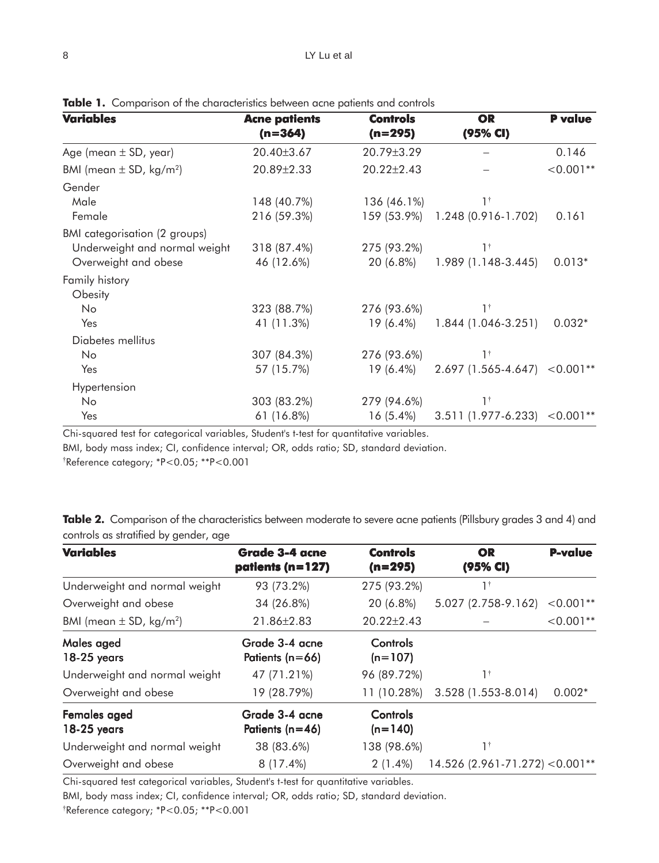| <b>Variables</b>                        | <b>Acne patients</b> | <b>Controls</b>  | <b>OR</b>                       | <b>P</b> value |  |
|-----------------------------------------|----------------------|------------------|---------------------------------|----------------|--|
|                                         | $(n=364)$            | $(n=295)$        | (95% CI)                        |                |  |
| Age (mean $\pm$ SD, year)               | 20.40±3.67           | 20.79±3.29       |                                 | 0.146          |  |
| BMI (mean $\pm$ SD, kg/m <sup>2</sup> ) | 20.89±2.33           | $20.22 \pm 2.43$ |                                 | $< 0.001**$    |  |
| Gender                                  |                      |                  |                                 |                |  |
| Male                                    | 148 (40.7%)          | 136 (46.1%)      | 1†                              |                |  |
| Female                                  | 216 (59.3%)          | 159 (53.9%)      | 1.248 (0.916-1.702)             | 0.161          |  |
| BMI categorisation (2 groups)           |                      |                  |                                 |                |  |
| Underweight and normal weight           | 318 (87.4%)          | 275 (93.2%)      | $1^{\dagger}$                   |                |  |
| Overweight and obese                    | 46 (12.6%)           | 20 (6.8%)        | 1.989 (1.148-3.445)             | $0.013*$       |  |
| Family history                          |                      |                  |                                 |                |  |
| Obesity                                 |                      |                  |                                 |                |  |
| No                                      | 323 (88.7%)          | 276 (93.6%)      | $1^{\dagger}$                   |                |  |
| Yes                                     | 41 (11.3%)           | 19 (6.4%)        | 1.844 (1.046-3.251)             | $0.032*$       |  |
| Diabetes mellitus                       |                      |                  |                                 |                |  |
| No                                      | 307 (84.3%)          | 276 (93.6%)      | $1^{\dagger}$                   |                |  |
| Yes                                     | 57 (15.7%)           | 19 (6.4%)        | $2.697$ (1.565-4.647) < 0.001** |                |  |
| Hypertension                            |                      |                  |                                 |                |  |
| No.                                     | 303 (83.2%)          | 279 (94.6%)      | 1 <sup>†</sup>                  |                |  |
| Yes                                     | 61 (16.8%)           | $16(5.4\%)$      | 3.511 (1.977-6.233)             | $< 0.001**$    |  |

**Table 1.** Comparison of the characteristics between acne patients and controls

Chi-squared test for categorical variables, Student's t-test for quantitative variables.

BMI, body mass index; CI, confidence interval; OR, odds ratio; SD, standard deviation.

† Reference category; \*P<0.05; \*\*P<0.001

Table 2. Comparison of the characteristics between moderate to severe acne patients (Pillsbury grades 3 and 4) and controls as stratified by gender, age

| <b>Variables</b>                        | <b>Grade 3-4 acne</b><br>patients (n=127) | <b>Controls</b><br>$(n=295)$ | <b>OR</b><br>(95% CI)           | <b>P-value</b> |
|-----------------------------------------|-------------------------------------------|------------------------------|---------------------------------|----------------|
| Underweight and normal weight           | 93 (73.2%)                                | 275 (93.2%)                  | $1^{\dagger}$                   |                |
| Overweight and obese                    | 34 (26.8%)                                | 20 (6.8%)                    | 5.027 (2.758-9.162)             | $< 0.001**$    |
| BMI (mean $\pm$ SD, kg/m <sup>2</sup> ) | 21.86±2.83                                | $20.22 \pm 2.43$             |                                 | $< 0.001**$    |
| Males aged<br>$18-25$ years             | Grade 3-4 acne<br>Patients (n=66)         | <b>Controls</b><br>$(n=107)$ |                                 |                |
| Underweight and normal weight           | 47 (71.21%)                               | 96 (89.72%)                  | 1†                              |                |
| Overweight and obese                    | 19 (28.79%)                               | 11 (10.28%)                  | 3.528 (1.553-8.014)             | $0.002*$       |
| Females aged<br>18-25 years             | Grade 3-4 acne<br>Patients (n=46)         | Controls<br>$(n=140)$        |                                 |                |
| Underweight and normal weight           | 38 (83.6%)                                | 138 (98.6%)                  | 1†                              |                |
| Overweight and obese                    | 8 (17.4%)                                 | $2(1.4\%)$                   | 14.526 (2.961-71.272) < 0.001** |                |

Chi-squared test categorical variables, Student's t-test for quantitative variables.

BMI, body mass index; CI, confidence interval; OR, odds ratio; SD, standard deviation.

† Reference category; \*P<0.05; \*\*P<0.001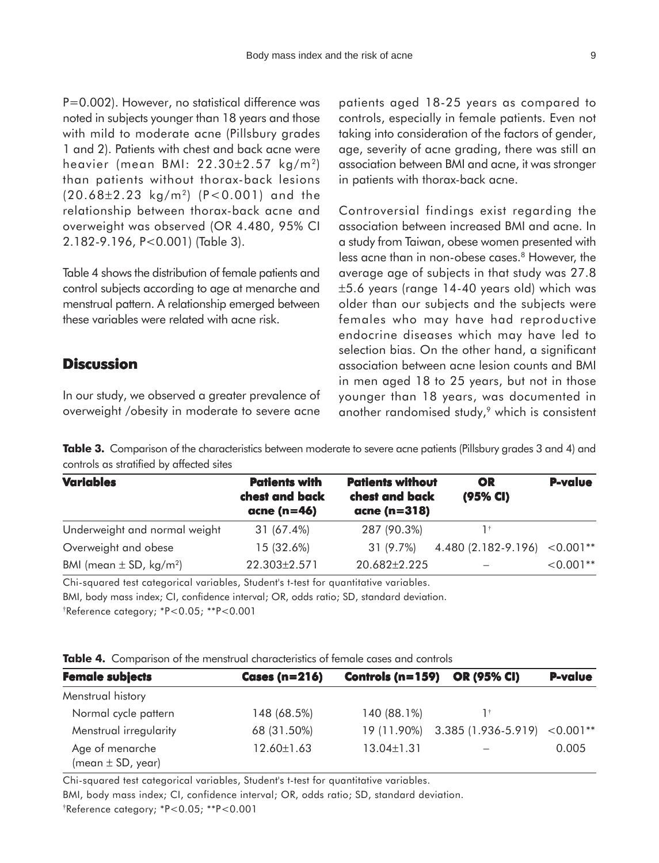P=0.002). However, no statistical difference was noted in subjects younger than 18 years and those with mild to moderate acne (Pillsbury grades 1 and 2). Patients with chest and back acne were heavier (mean BMI: 22.30±2.57 kg/m2) than patients without thorax-back lesions (20.68±2.23 kg/m2) (P<0.001) and the relationship between thorax-back acne and overweight was observed (OR 4.480, 95% CI 2.182-9.196, P<0.001) (Table 3).

Table 4 shows the distribution of female patients and control subjects according to age at menarche and menstrual pattern. A relationship emerged between these variables were related with acne risk.

## **Discussion**

In our study, we observed a greater prevalence of overweight /obesity in moderate to severe acne patients aged 18-25 years as compared to controls, especially in female patients. Even not taking into consideration of the factors of gender, age, severity of acne grading, there was still an association between BMI and acne, it was stronger in patients with thorax-back acne.

Controversial findings exist regarding the association between increased BMI and acne. In a study from Taiwan, obese women presented with less acne than in non-obese cases.<sup>8</sup> However, the average age of subjects in that study was 27.8 ±5.6 years (range 14-40 years old) which was older than our subjects and the subjects were females who may have had reproductive endocrine diseases which may have led to selection bias. On the other hand, a significant association between acne lesion counts and BMI in men aged 18 to 25 years, but not in those younger than 18 years, was documented in another randomised study,<sup>9</sup> which is consistent

**Table 3.** Comparison of the characteristics between moderate to severe acne patients (Pillsbury grades 3 and 4) and controls as stratified by affected sites

| <b>Variables</b>                        | <b>Patients with</b><br>chest and back<br>acne ( $n=46$ ) | <b>Patients without</b><br>chest and back<br>acne (n=318) | OR<br>(95% CI)      | <b>P-value</b> |
|-----------------------------------------|-----------------------------------------------------------|-----------------------------------------------------------|---------------------|----------------|
| Underweight and normal weight           | 31 (67.4%)                                                | 287 (90.3%)                                               |                     |                |
| Overweight and obese                    | 15 (32.6%)                                                | 31 (9.7%)                                                 | 4.480 (2.182-9.196) | $< 0.001$ **   |
| BMI (mean $\pm$ SD, kg/m <sup>2</sup> ) | 22.303±2.571                                              | 20.682±2.225                                              |                     | $< 0.001**$    |

Chi-squared test categorical variables, Student's t-test for quantitative variables.

BMI, body mass index; CI, confidence interval; OR, odds ratio; SD, standard deviation. † Reference category; \*P<0.05; \*\*P<0.001

|  |  |  | <b>Table 4.</b> Comparison of the menstrual characteristics of female cases and controls |  |  |
|--|--|--|------------------------------------------------------------------------------------------|--|--|
|--|--|--|------------------------------------------------------------------------------------------|--|--|

| <b>Female subjects</b>                   | <b>Cases (n=216)</b> | Controls ( $n = 159$ ) | <b>OR (95% CI)</b>  | <b>P-value</b> |
|------------------------------------------|----------------------|------------------------|---------------------|----------------|
| Menstrual history                        |                      |                        |                     |                |
| Normal cycle pattern                     | 148 (68.5%)          | 140 (88.1%)            | ٦t.                 |                |
| Menstrual irregularity                   | 68 (31.50%)          | 19 (11.90%)            | 3.385 (1.936-5.919) | $< 0.001**$    |
| Age of menarche<br>(mean $\pm$ SD, year) | 12.60±1.63           | $13.04 \pm 1.31$       |                     | 0.005          |

Chi-squared test categorical variables, Student's t-test for quantitative variables.

BMI, body mass index; CI, confidence interval; OR, odds ratio; SD, standard deviation. † Reference category; \*P<0.05; \*\*P<0.001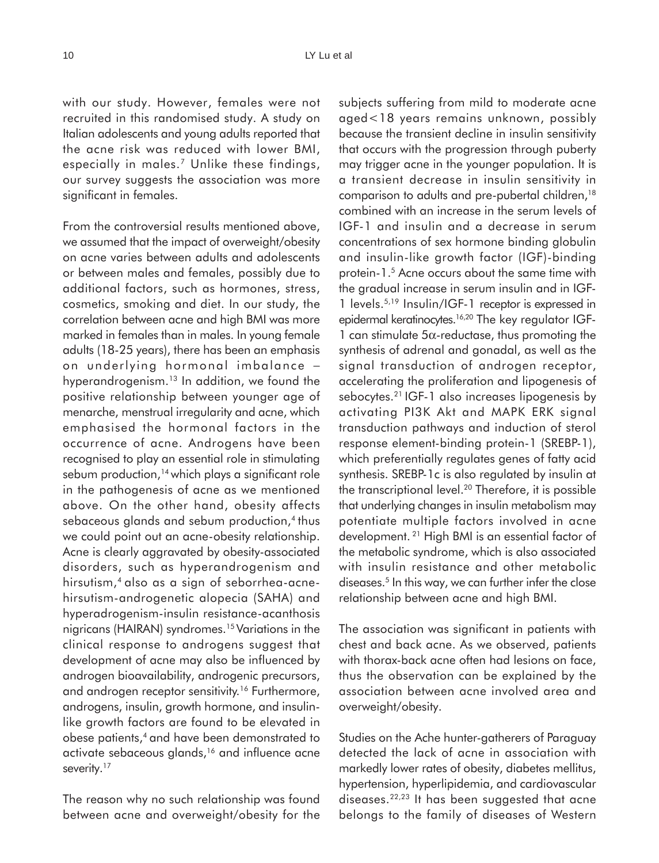with our study. However, females were not recruited in this randomised study. A study on Italian adolescents and young adults reported that the acne risk was reduced with lower BMI, especially in males.<sup>7</sup> Unlike these findings, our survey suggests the association was more significant in females.

From the controversial results mentioned above, we assumed that the impact of overweight/obesity on acne varies between adults and adolescents or between males and females, possibly due to additional factors, such as hormones, stress, cosmetics, smoking and diet. In our study, the correlation between acne and high BMI was more marked in females than in males. In young female adults (18-25 years), there has been an emphasis on underlying hormonal imbalance − hyperandrogenism.<sup>13</sup> In addition, we found the positive relationship between younger age of menarche, menstrual irregularity and acne, which emphasised the hormonal factors in the occurrence of acne. Androgens have been recognised to play an essential role in stimulating sebum production,<sup>14</sup> which plays a significant role in the pathogenesis of acne as we mentioned above. On the other hand, obesity affects sebaceous glands and sebum production,<sup>4</sup> thus we could point out an acne-obesity relationship. Acne is clearly aggravated by obesity-associated disorders, such as hyperandrogenism and hirsutism,4 also as a sign of seborrhea-acnehirsutism-androgenetic alopecia (SAHA) and hyperadrogenism-insulin resistance-acanthosis nigricans (HAIRAN) syndromes.15 Variations in the clinical response to androgens suggest that development of acne may also be influenced by androgen bioavailability, androgenic precursors, and androgen receptor sensitivity.<sup>16</sup> Furthermore, androgens, insulin, growth hormone, and insulinlike growth factors are found to be elevated in obese patients,4 and have been demonstrated to activate sebaceous glands,<sup>16</sup> and influence acne severity.<sup>17</sup>

The reason why no such relationship was found between acne and overweight/obesity for the subjects suffering from mild to moderate acne aged<18 years remains unknown, possibly because the transient decline in insulin sensitivity that occurs with the progression through puberty may trigger acne in the younger population. It is a transient decrease in insulin sensitivity in comparison to adults and pre-pubertal children,18 combined with an increase in the serum levels of IGF-1 and insulin and a decrease in serum concentrations of sex hormone binding globulin and insulin-like growth factor (IGF)-binding protein-1.5 Acne occurs about the same time with the gradual increase in serum insulin and in IGF-1 levels.5,19 Insulin/IGF-1 receptor is expressed in epidermal keratinocytes.16,20 The key regulator IGF-1 can stimulate  $5\alpha$ -reductase, thus promoting the synthesis of adrenal and gonadal, as well as the signal transduction of androgen receptor, accelerating the proliferation and lipogenesis of sebocytes.21 IGF-1 also increases lipogenesis by activating PI3K Akt and MAPK ERK signal transduction pathways and induction of sterol response element-binding protein-1 (SREBP-1), which preferentially regulates genes of fatty acid synthesis. SREBP-1c is also regulated by insulin at the transcriptional level.<sup>20</sup> Therefore, it is possible that underlying changes in insulin metabolism may potentiate multiple factors involved in acne development. 21 High BMI is an essential factor of the metabolic syndrome, which is also associated with insulin resistance and other metabolic diseases.5 In this way, we can further infer the close relationship between acne and high BMI.

The association was significant in patients with chest and back acne. As we observed, patients with thorax-back acne often had lesions on face, thus the observation can be explained by the association between acne involved area and overweight/obesity.

Studies on the Ache hunter-gatherers of Paraguay detected the lack of acne in association with markedly lower rates of obesity, diabetes mellitus, hypertension, hyperlipidemia, and cardiovascular diseases.22,23 It has been suggested that acne belongs to the family of diseases of Western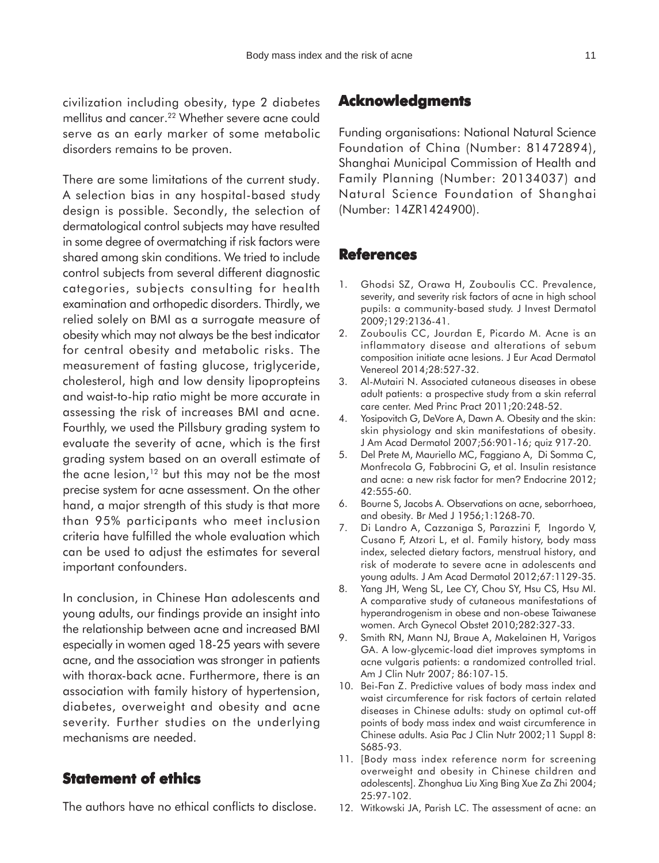civilization including obesity, type 2 diabetes mellitus and cancer.<sup>22</sup> Whether severe acne could serve as an early marker of some metabolic disorders remains to be proven.

There are some limitations of the current study. A selection bias in any hospital-based study design is possible. Secondly, the selection of dermatological control subjects may have resulted in some degree of overmatching if risk factors were shared among skin conditions. We tried to include control subjects from several different diagnostic categories, subjects consulting for health examination and orthopedic disorders. Thirdly, we relied solely on BMI as a surrogate measure of obesity which may not always be the best indicator for central obesity and metabolic risks. The measurement of fasting glucose, triglyceride, cholesterol, high and low density lipopropteins and waist-to-hip ratio might be more accurate in assessing the risk of increases BMI and acne. Fourthly, we used the Pillsbury grading system to evaluate the severity of acne, which is the first grading system based on an overall estimate of the acne lesion, $12$  but this may not be the most precise system for acne assessment. On the other hand, a major strength of this study is that more than 95% participants who meet inclusion criteria have fulfilled the whole evaluation which can be used to adjust the estimates for several important confounders.

In conclusion, in Chinese Han adolescents and young adults, our findings provide an insight into the relationship between acne and increased BMI especially in women aged 18-25 years with severe acne, and the association was stronger in patients with thorax-back acne. Furthermore, there is an association with family history of hypertension, diabetes, overweight and obesity and acne severity. Further studies on the underlying mechanisms are needed.

## **Statement of ethics**

The authors have no ethical conflicts to disclose.

## **Acknowledgments**

Funding organisations: National Natural Science Foundation of China (Number: 81472894), Shanghai Municipal Commission of Health and Family Planning (Number: 20134037) and Natural Science Foundation of Shanghai (Number: 14ZR1424900).

### **References**

- 1. Ghodsi SZ, Orawa H, Zouboulis CC. Prevalence, severity, and severity risk factors of acne in high school pupils: a community-based study. J Invest Dermatol 2009;129:2136-41.
- 2. Zouboulis CC, Jourdan E, Picardo M. Acne is an inflammatory disease and alterations of sebum composition initiate acne lesions. J Eur Acad Dermatol Venereol 2014;28:527-32.
- 3. Al-Mutairi N. Associated cutaneous diseases in obese adult patients: a prospective study from a skin referral care center. Med Princ Pract 2011;20:248-52.
- 4. Yosipovitch G, DeVore A, Dawn A. Obesity and the skin: skin physiology and skin manifestations of obesity. J Am Acad Dermatol 2007;56:901-16; quiz 917-20.
- 5. Del Prete M, Mauriello MC, Faggiano A, Di Somma C, Monfrecola G, Fabbrocini G, et al. Insulin resistance and acne: a new risk factor for men? Endocrine 2012; 42:555-60.
- 6. Bourne S, Jacobs A. Observations on acne, seborrhoea, and obesity. Br Med J 1956;1:1268-70.
- 7. Di Landro A, Cazzaniga S, Parazzini F, Ingordo V, Cusano F, Atzori L, et al. Family history, body mass index, selected dietary factors, menstrual history, and risk of moderate to severe acne in adolescents and young adults. J Am Acad Dermatol 2012;67:1129-35.
- 8. Yang JH, Weng SL, Lee CY, Chou SY, Hsu CS, Hsu MI. A comparative study of cutaneous manifestations of hyperandrogenism in obese and non-obese Taiwanese women. Arch Gynecol Obstet 2010;282:327-33.
- 9. Smith RN, Mann NJ, Braue A, Makelainen H, Varigos GA. A low-glycemic-load diet improves symptoms in acne vulgaris patients: a randomized controlled trial. Am J Clin Nutr 2007; 86:107-15.
- 10. Bei-Fan Z. Predictive values of body mass index and waist circumference for risk factors of certain related diseases in Chinese adults: study on optimal cut-off points of body mass index and waist circumference in Chinese adults. Asia Pac J Clin Nutr 2002;11 Suppl 8: S685-93.
- 11. [Body mass index reference norm for screening overweight and obesity in Chinese children and adolescents]. Zhonghua Liu Xing Bing Xue Za Zhi 2004; 25:97-102.
- 12. Witkowski JA, Parish LC. The assessment of acne: an